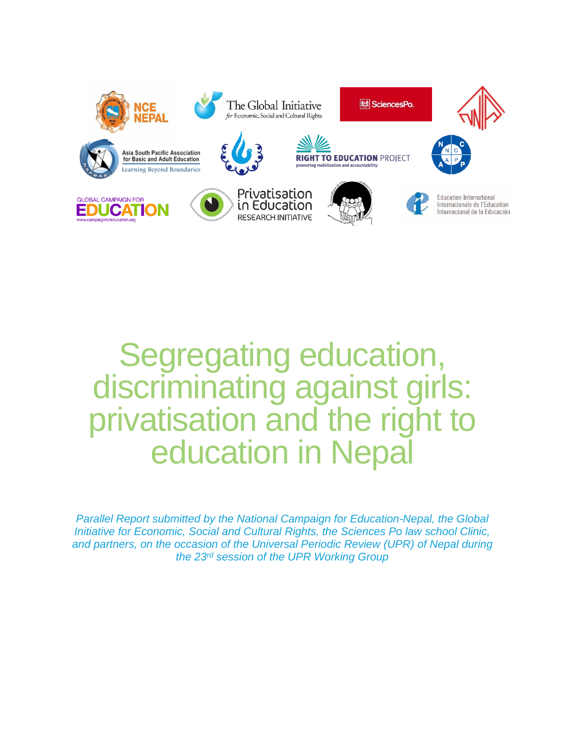

# Segregating education, discriminating against girls: privatisation and the right to education in Nepal

*Parallel Report submitted by the National Campaign for Education-Nepal, the Global Initiative for Economic, Social and Cultural Rights, the Sciences Po law school Clinic, and partners, on the occasion of the Universal Periodic Review (UPR) of Nepal during the 23rd session of the UPR Working Group*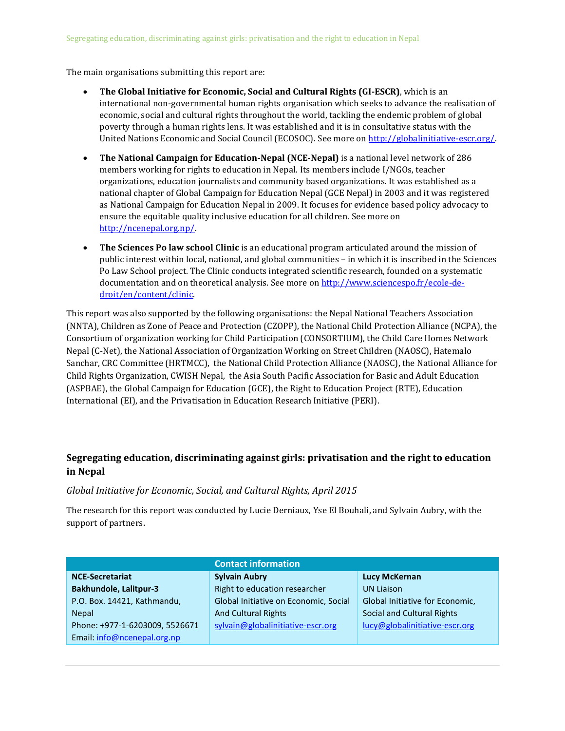The main organisations submitting this report are:

- **The Global Initiative for Economic, Social and Cultural Rights (GI-ESCR)**, which is an international non-governmental human rights organisation which seeks to advance the realisation of economic, social and cultural rights throughout the world, tackling the endemic problem of global poverty through a human rights lens. It was established and it is in consultative status with the United Nations Economic and Social Council (ECOSOC). See more on http://globalinitiative-escr.org/.
- **The National Campaign for Education-Nepal (NCE-Nepal)** is a national level network of 286 members working for rights to education in Nepal. Its members include I/NGOs, teacher organizations, education journalists and community based organizations. It was established as a national chapter of Global Campaign for Education Nepal (GCE Nepal) in 2003 and it was registered as National Campaign for Education Nepal in 2009. It focuses for evidence based policy advocacy to ensure the equitable quality inclusive education for all children. See more on [http://ncenepal.org.np/.](http://ncenepal.org.np/)
- **The Sciences Po law school Clinic** is an educational program articulated around the mission of public interest within local, national, and global communities – in which it is inscribed in the Sciences Po Law School project. The Clinic conducts integrated scientific research, founded on a systematic documentation and on theoretical analysis. See more o[n http://www.sciencespo.fr/ecole-de](http://www.sciencespo.fr/ecole-de-droit/en/content/clinic)[droit/en/content/clinic.](http://www.sciencespo.fr/ecole-de-droit/en/content/clinic)

This report was also supported by the following organisations: the Nepal National Teachers Association (NNTA), Children as Zone of Peace and Protection (CZOPP), the National Child Protection Alliance (NCPA), the Consortium of organization working for Child Participation (CONSORTIUM), the Child Care Homes Network Nepal (C-Net), the National Association of Organization Working on Street Children (NAOSC), Hatemalo Sanchar, CRC Committee (HRTMCC), the National Child Protection Alliance (NAOSC), the National Alliance for Child Rights Organization, CWISH Nepal, the Asia South Pacific Association for Basic and Adult Education (ASPBAE), the Global Campaign for Education (GCE), the Right to Education Project (RTE), Education International (EI), and the Privatisation in Education Research Initiative (PERI).

#### **Segregating education, discriminating against girls: privatisation and the right to education in Nepal**

#### *Global Initiative for Economic, Social, and Cultural Rights, April 2015*

The research for this report was conducted by Lucie Derniaux, Yse El Bouhali, and Sylvain Aubry, with the support of partners.

|                                | <b>Contact information</b>            |                                 |  |  |
|--------------------------------|---------------------------------------|---------------------------------|--|--|
| <b>NCE-Secretariat</b>         | <b>Sylvain Aubry</b>                  | <b>Lucy McKernan</b>            |  |  |
| <b>Bakhundole, Lalitpur-3</b>  | Right to education researcher         | <b>UN Liaison</b>               |  |  |
| P.O. Box. 14421, Kathmandu,    | Global Initiative on Economic, Social | Global Initiative for Economic, |  |  |
| <b>Nepal</b>                   | <b>And Cultural Rights</b>            | Social and Cultural Rights      |  |  |
| Phone: +977-1-6203009, 5526671 | sylvain@globalinitiative-escr.org     | lucy@globalinitiative-escr.org  |  |  |
| Email: info@ncenepal.org.np    |                                       |                                 |  |  |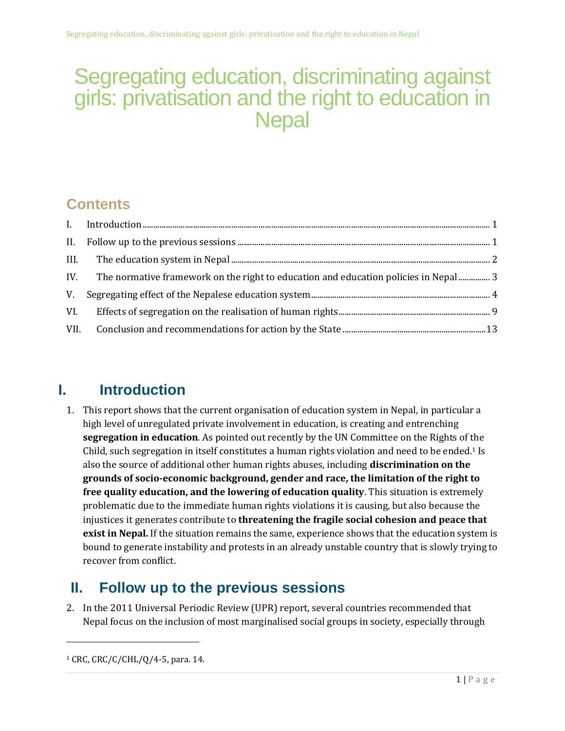## Segregating education, discriminating against girls: privatisation and the right to education in **Nepal**

### **Contents**

### <span id="page-2-0"></span>**I. Introduction**

1. This report shows that the current organisation of education system in Nepal, in particular a high level of unregulated private involvement in education, is creating and entrenching **segregation in education**. As pointed out recently by the UN Committee on the Rights of the Child, such segregation in itself constitutes a human rights violation and need to be ended. <sup>1</sup> Is also the source of additional other human rights abuses, including **discrimination on the grounds of socio-economic background, gender and race, the limitation of the right to free quality education, and the lowering of education quality**. This situation is extremely problematic due to the immediate human rights violations it is causing, but also because the injustices it generates contribute to **threatening the fragile social cohesion and peace that exist in Nepal.** If the situation remains the same, experience shows that the education system is bound to generate instability and protests in an already unstable country that is slowly trying to recover from conflict.

### <span id="page-2-1"></span>**II. Follow up to the previous sessions**

2. In the 2011 Universal Periodic Review (UPR) report, several countries recommended that Nepal focus on the inclusion of most marginalised social groups in society, especially through

<sup>1</sup> CRC, CRC/C/CHL/Q/4-5, para. 14.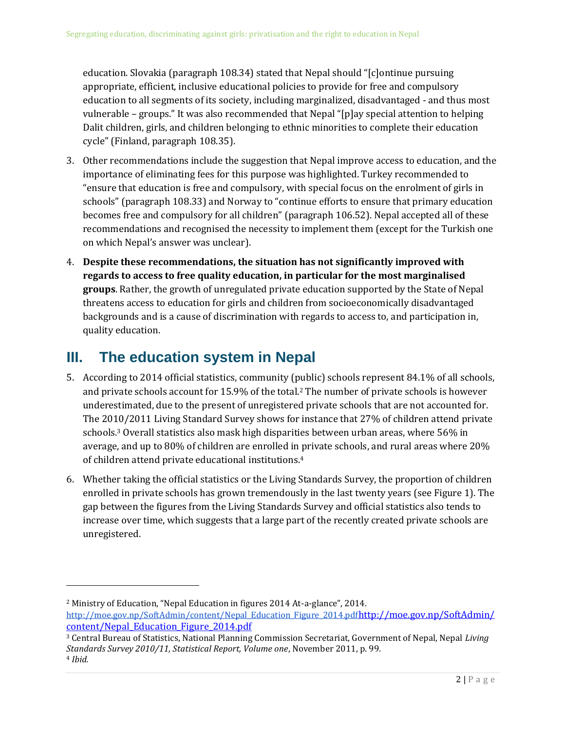education. Slovakia (paragraph 108.34) stated that Nepal should "[c]ontinue pursuing appropriate, efficient, inclusive educational policies to provide for free and compulsory education to all segments of its society, including marginalized, disadvantaged - and thus most vulnerable – groups." It was also recommended that Nepal "[p]ay special attention to helping Dalit children, girls, and children belonging to ethnic minorities to complete their education cycle" (Finland, paragraph 108.35).

- 3. Other recommendations include the suggestion that Nepal improve access to education, and the importance of eliminating fees for this purpose was highlighted. Turkey recommended to "ensure that education is free and compulsory, with special focus on the enrolment of girls in schools" (paragraph 108.33) and Norway to "continue efforts to ensure that primary education becomes free and compulsory for all children" (paragraph 106.52). Nepal accepted all of these recommendations and recognised the necessity to implement them (except for the Turkish one on which Nepal's answer was unclear).
- 4. **Despite these recommendations, the situation has not significantly improved with regards to access to free quality education, in particular for the most marginalised groups**. Rather, the growth of unregulated private education supported by the State of Nepal threatens access to education for girls and children from socioeconomically disadvantaged backgrounds and is a cause of discrimination with regards to access to, and participation in, quality education.

### <span id="page-3-0"></span>**III. The education system in Nepal**

l

- 5. According to 2014 official statistics, community (public) schools represent 84.1% of all schools, and private schools account for 15.9% of the total.<sup>2</sup> The number of private schools is however underestimated, due to the present of unregistered private schools that are not accounted for. The 2010/2011 Living Standard Survey shows for instance that 27% of children attend private schools.<sup>3</sup> Overall statistics also mask high disparities between urban areas, where 56% in average, and up to 80% of children are enrolled in private schools, and rural areas where 20% of children attend private educational institutions.<sup>4</sup>
- 6. Whether taking the official statistics or the Living Standards Survey, the proportion of children enrolled in private schools has grown tremendously in the last twenty years (se[e Figure 1\)](#page-4-1). The gap between the figures from the Living Standards Survey and official statistics also tends to increase over time, which suggests that a large part of the recently created private schools are unregistered.

<sup>3</sup> Central Bureau of Statistics, National Planning Commission Secretariat, Government of Nepal, Nepal *Living Standards Survey 2010/11, Statistical Report, Volume one*, November 2011, p. 99. <sup>4</sup> *Ibid.*

<sup>2</sup> Ministry of Education, "Nepal Education in figures 2014 At-a-glance", 2014. [http://moe.gov.np/SoftAdmin/content/Nepal\\_Education\\_Figure\\_2014.pdf](http://moe.gov.np/SoftAdmin/content/Nepal_Education_Figure_2014.pdf)[http://moe.gov.np/SoftAdmin/](http://moe.gov.np/SoftAdmin/content/Nepal_Education_Figure_2014.pdf) [content/Nepal\\_Education\\_Figure\\_2014.pdf](http://moe.gov.np/SoftAdmin/content/Nepal_Education_Figure_2014.pdf)

 $2 | P a g e$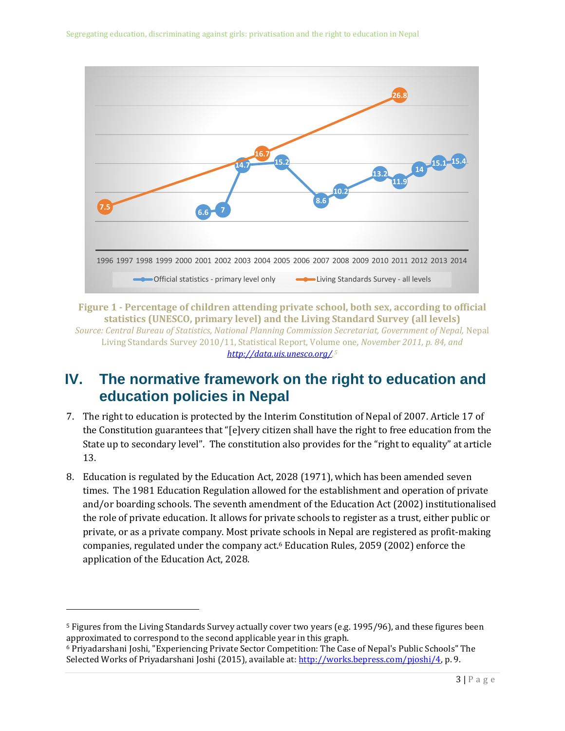

<span id="page-4-1"></span>**Figure 1 - Percentage of children attending private school, both sex, according to official statistics (UNESCO, primary level) and the Living Standard Survey (all levels)** *Source: Central Bureau of Statistics, National Planning Commission Secretariat, Government of Nepal,* Nepal Living Standards Survey 2010/11, Statistical Report, Volume one*, November 2011, p. 84, and [http://data.uis.unesco.org/.](http://data.uis.unesco.org/) 5*

### <span id="page-4-0"></span>**IV. The normative framework on the right to education and education policies in Nepal**

- 7. The right to education is protected by the Interim Constitution of Nepal of 2007. Article 17 of the Constitution guarantees that "[e]very citizen shall have the right to free education from the State up to secondary level". The constitution also provides for the "right to equality" at article 13.
- 8. Education is regulated by the Education Act, 2028 (1971), which has been amended seven times. The 1981 Education Regulation allowed for the establishment and operation of private and/or boarding schools. The seventh amendment of the Education Act (2002) institutionalised the role of private education. It allows for private schools to register as a trust, either public or private, or as a private company. Most private schools in Nepal are registered as profit-making companies, regulated under the company act.<sup>6</sup> Education Rules, 2059 (2002) enforce the application of the Education Act, 2028.

<sup>5</sup> Figures from the Living Standards Survey actually cover two years (e.g. 1995/96), and these figures been approximated to correspond to the second applicable year in this graph.

<sup>6</sup> Priyadarshani Joshi, "Experiencing Private Sector Competition: The Case of Nepal's Public Schools" The Selected Works of Priyadarshani Joshi (2015), available at: [http://works.bepress.com/pjoshi/4,](http://works.bepress.com/pjoshi/4) p. 9.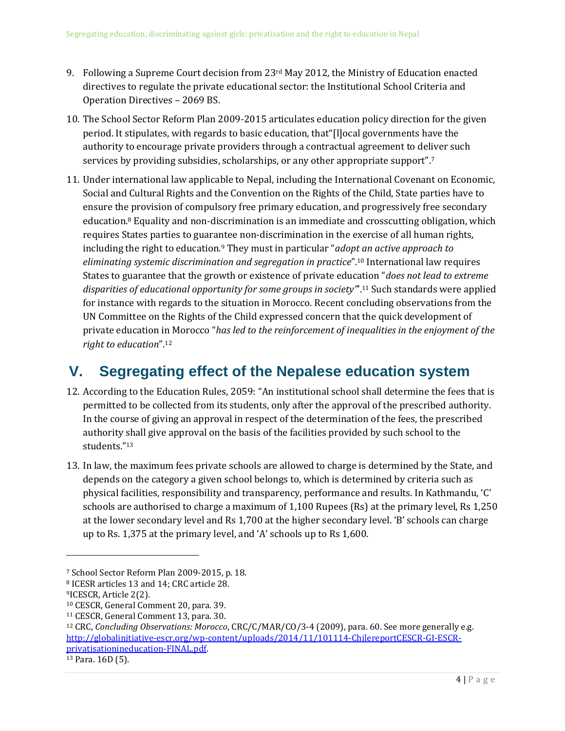- 9. Following a Supreme Court decision from  $23<sup>rd</sup>$  May 2012, the Ministry of Education enacted directives to regulate the private educational sector: the Institutional School Criteria and Operation Directives – 2069 BS.
- 10. The School Sector Reform Plan 2009-2015 articulates education policy direction for the given period. It stipulates, with regards to basic education, that"[l]ocal governments have the authority to encourage private providers through a contractual agreement to deliver such services by providing subsidies, scholarships, or any other appropriate support". 7
- <span id="page-5-1"></span>11. Under international law applicable to Nepal, including the International Covenant on Economic, Social and Cultural Rights and the Convention on the Rights of the Child, State parties have to ensure the provision of compulsory free primary education, and progressively free secondary education.<sup>8</sup> Equality and non-discrimination is an immediate and crosscutting obligation, which requires States parties to guarantee non-discrimination in the exercise of all human rights, including the right to education.<sup>9</sup> They must in particular "*adopt an active approach to eliminating systemic discrimination and segregation in practice*".<sup>10</sup> International law requires States to guarantee that the growth or existence of private education "*does not lead to extreme disparities of educational opportunity for some groups in society"*'.<sup>11</sup> Such standards were applied for instance with regards to the situation in Morocco. Recent concluding observations from the UN Committee on the Rights of the Child expressed concern that the quick development of private education in Morocco "*has led to the reinforcement of inequalities in the enjoyment of the right to education*".<sup>12</sup>

### <span id="page-5-0"></span>**V. Segregating effect of the Nepalese education system**

- 12. According to the Education Rules, 2059: "An institutional school shall determine the fees that is permitted to be collected from its students, only after the approval of the prescribed authority. In the course of giving an approval in respect of the determination of the fees, the prescribed authority shall give approval on the basis of the facilities provided by such school to the students."<sup>13</sup>
- 13. In law, the maximum fees private schools are allowed to charge is determined by the State, and depends on the category a given school belongs to, which is determined by criteria such as physical facilities, responsibility and transparency, performance and results. In Kathmandu, 'C' schools are authorised to charge a maximum of 1,100 Rupees (Rs) at the primary level, Rs 1,250 at the lower secondary level and Rs 1,700 at the higher secondary level. 'B' schools can charge up to Rs. 1,375 at the primary level, and 'A' schools up to Rs 1,600.

l

<sup>7</sup> School Sector Reform Plan 2009-2015, p. 18.

<sup>8</sup> ICESR articles 13 and 14; CRC article 28.

<sup>9</sup>ICESCR, Article 2(2).

<sup>10</sup> CESCR, General Comment 20, para. 39.

<sup>11</sup> CESCR, General Comment 13, para. 30.

<sup>12</sup> CRC, *Concluding Observations: Morocco*, CRC/C/MAR/CO/3-4 (2009), para. 60. See more generally e.g. [http://globalinitiative-escr.org/wp-content/uploads/2014/11/101114-ChilereportCESCR-GI-ESCR](http://globalinitiative-escr.org/wp-content/uploads/2014/11/101114-ChilereportCESCR-GI-ESCR-privatisationineducation-FINAL.pdf)[privatisationineducation-FINAL.pdf.](http://globalinitiative-escr.org/wp-content/uploads/2014/11/101114-ChilereportCESCR-GI-ESCR-privatisationineducation-FINAL.pdf)

<sup>13</sup> Para. 16D (5).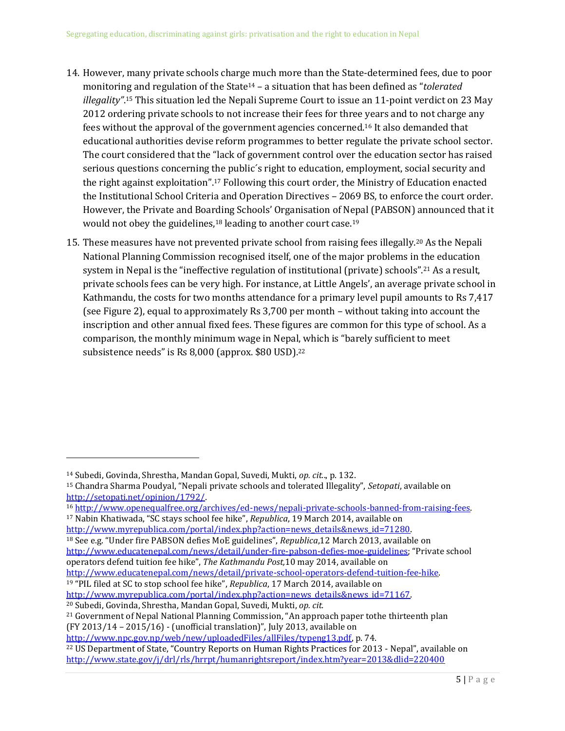- 14. However, many private schools charge much more than the State-determined fees, due to poor monitoring and regulation of the State<sup>14</sup> – a situation that has been defined as "*tolerated illegality"*. <sup>15</sup> This situation led the Nepali Supreme Court to issue an 11-point verdict on 23 May 2012 ordering private schools to not increase their fees for three years and to not charge any fees without the approval of the government agencies concerned.<sup>16</sup> It also demanded that educational authorities devise reform programmes to better regulate the private school sector. The court considered that the "lack of government control over the education sector has raised serious questions concerning the public´s right to education, employment, social security and the right against exploitation".<sup>17</sup> Following this court order, the Ministry of Education enacted the Institutional School Criteria and Operation Directives – 2069 BS, to enforce the court order. However, the Private and Boarding Schools' Organisation of Nepal (PABSON) announced that it would not obey the guidelines,<sup>18</sup> leading to another court case.<sup>19</sup>
- 15. These measures have not prevented private school from raising fees illegally.<sup>20</sup> As the Nepali National Planning Commission recognised itself, one of the major problems in the education system in Nepal is the "ineffective regulation of institutional (private) schools".<sup>21</sup> As a result, private schools fees can be very high. For instance, at Little Angels', an average private school in Kathmandu, the costs for two months attendance for a primary level pupil amounts to Rs 7,417 (see [Figure 2\)](#page-7-0), equal to approximately Rs 3,700 per month – without taking into account the inscription and other annual fixed fees. These figures are common for this type of school. As a comparison, the monthly minimum wage in Nepal, which is "barely sufficient to meet subsistence needs" is Rs 8,000 (approx. \$80 USD).<sup>22</sup>

 $\overline{a}$ 

<sup>18</sup> See e.g. "Under fire PABSON defies MoE guidelines", *Republica*,12 March 2013, available on <http://www.educatenepal.com/news/detail/under-fire-pabson-defies-moe-guidelines>; "Private school operators defend tuition fee hike", *The Kathmandu Post,*10 may 2014, available on [http://www.educatenepal.com/news/detail/private-school-operators-defend-tuition-fee-hike.](http://www.educatenepal.com/news/detail/private-school-operators-defend-tuition-fee-hike) 

<sup>14</sup> Subedi, Govinda, Shrestha, Mandan Gopal, Suvedi, Mukti, *op. cit.*., p. 132.

<sup>15</sup> Chandra Sharma Poudyal, "Nepali private schools and tolerated Illegality", *Setopati*, available on [http://setopati.net/opinion/1792/.](http://setopati.net/opinion/1792/) 

<sup>16</sup> [http://www.openequalfree.org/archives/ed-news/nepali-private-schools-banned-from-raising-fees.](http://www.openequalfree.org/archives/ed-news/nepali-private-schools-banned-from-raising-fees) <sup>17</sup> Nabin Khatiwada, "SC stays school fee hike", *Republica*, 19 March 2014, available on http://www.myrepublica.com/portal/index.php?action=news\_details&news\_id=71280.

<sup>19</sup> "PIL filed at SC to stop school fee hike", *Republica*, 17 March 2014, available on http://www.myrepublica.com/portal/index.php?action=news\_details&news\_id=71167. <sup>20</sup> Subedi, Govinda, Shrestha, Mandan Gopal, Suvedi, Mukti, *op. cit.*

<sup>21</sup> Government of Nepal National Planning Commission, "An approach paper tothe thirteenth plan (FY 2013/14 – 2015/16) - (unofficial translation)", July 2013, available on

[http://www.npc.gov.np/web/new/uploadedFiles/allFiles/typeng13.pdf,](http://www.npc.gov.np/web/new/uploadedFiles/allFiles/typeng13.pdf) p. 74.

<sup>22</sup> US Department of State, "Country Reports on Human Rights Practices for 2013 - Nepal", available on <http://www.state.gov/j/drl/rls/hrrpt/humanrightsreport/index.htm?year=2013&dlid=220400>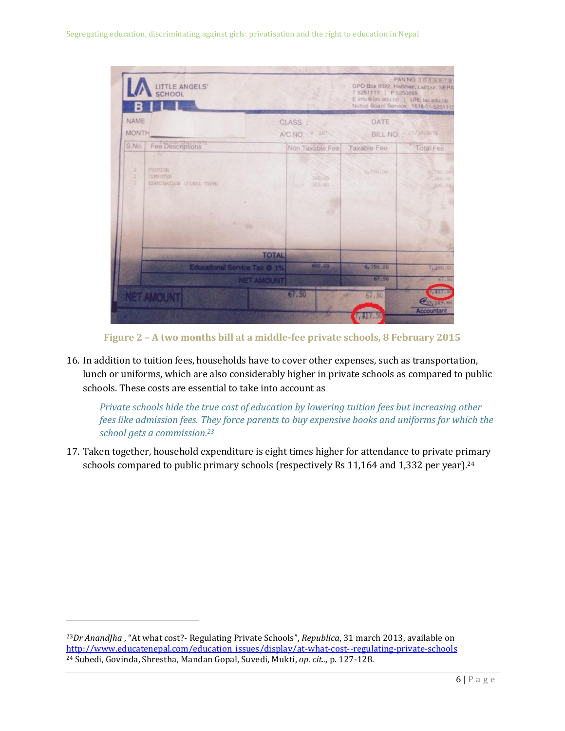

**Figure 2 – A two months bill at a middle-fee private schools, 8 February 2015**

<span id="page-7-0"></span>16. In addition to tuition fees, households have to cover other expenses, such as transportation, lunch or uniforms, which are also considerably higher in private schools as compared to public schools. These costs are essential to take into account as

*Private schools hide the true cost of education by lowering tuition fees but increasing other fees like admission fees. They force parents to buy expensive books and uniforms for which the school gets a commission.<sup>23</sup>*

17. Taken together, household expenditure is eight times higher for attendance to private primary schools compared to public primary schools (respectively Rs 11,164 and 1,332 per year).<sup>24</sup>

<sup>23</sup>*Dr AnandJha* , "At what cost?- Regulating Private Schools", *Republica*, 31 march 2013, available on [http://www.educatenepal.com/education\\_issues/display/at-what-cost--regulating-private-schools](http://www.educatenepal.com/education_issues/display/at-what-cost--regulating-private-schools) <sup>24</sup> Subedi, Govinda, Shrestha, Mandan Gopal, Suvedi, Mukti, *op. cit.*., p. 127-128.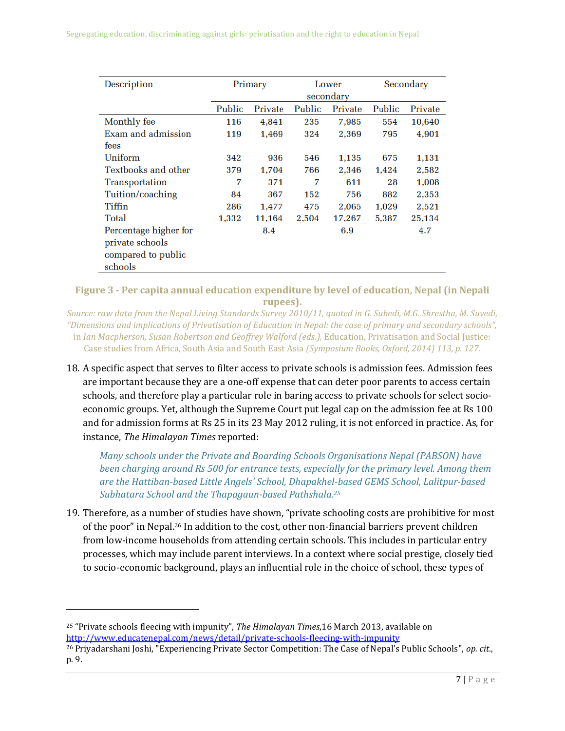| Description           | Primary |         | Lower<br>secondary |         | Secondary |         |
|-----------------------|---------|---------|--------------------|---------|-----------|---------|
|                       | Public  | Private | Public             | Private | Public    | Private |
| Monthly fee           | 116     | 4,841   | 235                | 7,985   | 554       | 10,640  |
| Exam and admission    | 119     | 1.469   | 324                | 2.369   | 795       | 4,901   |
| fees                  |         |         |                    |         |           |         |
| Uniform               | 342     | 936     | 546                | 1,135   | 675       | 1,131   |
| Textbooks and other   | 379     | 1.704   | 766                | 2.346   | 1.424     | 2,582   |
| Transportation        | 7       | 371     | 7                  | 611     | 28        | 1.008   |
| Tuition/coaching      | 84      | 367     | 152                | 756     | 882       | 2,353   |
| <b>Tiffin</b>         | 286     | 1,477   | 475                | 2.065   | 1.029     | 2,521   |
| Total                 | 1,332   | 11,164  | 2,504              | 17,267  | 5,387     | 25,134  |
| Percentage higher for |         | 8.4     |                    | 6.9     |           | 4.7     |
| private schools       |         |         |                    |         |           |         |
| compared to public    |         |         |                    |         |           |         |
| schools               |         |         |                    |         |           |         |

#### **Figure 3 - Per capita annual education expenditure by level of education, Nepal (in Nepali rupees).**

*Source: raw data from the Nepal Living Standards Survey 2010/11, quoted in G. Subedi, M.G. Shrestha, M. Suvedi, "Dimensions and implications of Privatisation of Education in Nepal: the case of primary and secondary schools",*  in *Ian Macpherson, Susan Robertson and Geoffrey Walford (eds.),* Education, Privatisation and Social Justice: Case studies from Africa, South Asia and South East Asia *(Symposium Books, Oxford, 2014) 113, p. 127.*

18. A specific aspect that serves to filter access to private schools is admission fees. Admission fees are important because they are a one-off expense that can deter poor parents to access certain schools, and therefore play a particular role in baring access to private schools for select socioeconomic groups. Yet, although the Supreme Court put legal cap on the admission fee at Rs 100 and for admission forms at Rs 25 in its 23 May 2012 ruling, it is not enforced in practice. As, for instance, *The Himalayan Times* reported:

*Many schools under the Private and Boarding Schools Organisations Nepal (PABSON) have been charging around Rs 500 for entrance tests, especially for the primary level. Among them are the Hattiban-based Little Angels' School, Dhapakhel-based GEMS School, Lalitpur-based Subhatara School and the Thapagaun-based Pathshala.<sup>25</sup>*

19. Therefore, as a number of studies have shown, "private schooling costs are prohibitive for most of the poor" in Nepal.<sup>26</sup> In addition to the cost, other non-financial barriers prevent children from low-income households from attending certain schools. This includes in particular entry processes, which may include parent interviews. In a context where social prestige, closely tied to socio-economic background, plays an influential role in the choice of school, these types of

<sup>25</sup> "Private schools fleecing with impunity", *The Himalayan Times*,16 March 2013, available on <http://www.educatenepal.com/news/detail/private-schools-fleecing-with-impunity>

<sup>26</sup> Priyadarshani Joshi, "Experiencing Private Sector Competition: The Case of Nepal's Public Schools", *op. cit*., p. 9.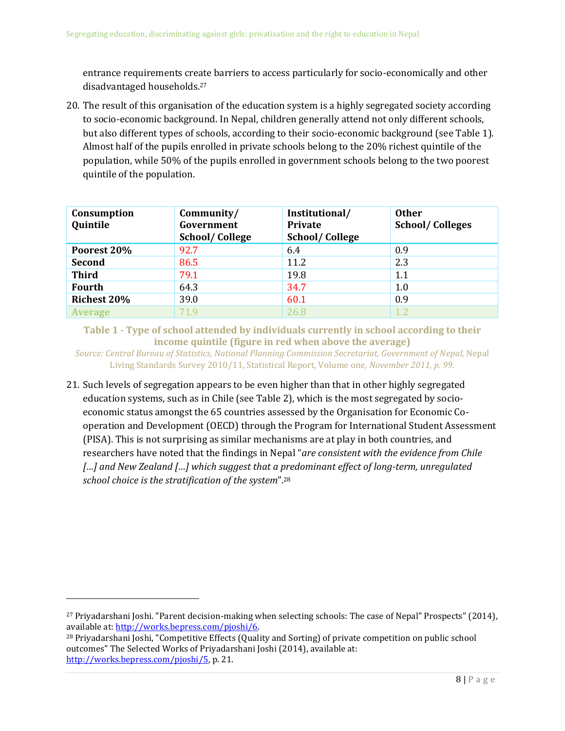entrance requirements create barriers to access particularly for socio-economically and other disadvantaged households. 27

20. The result of this organisation of the education system is a highly segregated society according to socio-economic background. In Nepal, children generally attend not only different schools, but also different types of schools, according to their socio-economic background (see [Table 1\)](#page-9-0). Almost half of the pupils enrolled in private schools belong to the 20% richest quintile of the population, while 50% of the pupils enrolled in government schools belong to the two poorest quintile of the population.

| Consumption<br>Quintile | Community/<br>Government<br><b>School/College</b> | Institutional/<br><b>Private</b><br><b>School/College</b> | <b>Other</b><br><b>School/Colleges</b> |
|-------------------------|---------------------------------------------------|-----------------------------------------------------------|----------------------------------------|
| Poorest 20%             | 92.7                                              | 6.4                                                       | 0.9                                    |
| Second                  | 86.5                                              | 11.2                                                      | 2.3                                    |
| <b>Third</b>            | 79.1                                              | 19.8                                                      | 1.1                                    |
| <b>Fourth</b>           | 64.3                                              | 34.7                                                      | 1.0                                    |
| <b>Richest 20%</b>      | 39.0                                              | 60.1                                                      | 0.9                                    |
| <b>Average</b>          | 71.9                                              | 26.8                                                      | 1.2                                    |

<span id="page-9-0"></span>**Table 1 - Type of school attended by individuals currently in school according to their income quintile (figure in red when above the average)**

*Source: Central Bureau of Statistics, National Planning Commission Secretariat, Government of Nepal,* Nepal Living Standards Survey 2010/11, Statistical Report, Volume one*, November 2011, p. 99.*

21. Such levels of segregation appears to be even higher than that in other highly segregated education systems, such as in Chile (see [Table 2\)](#page-10-1), which is the most segregated by socioeconomic status amongst the 65 countries assessed by the Organisation for Economic Cooperation and Development (OECD) through the Program for International Student Assessment (PISA). This is not surprising as similar mechanisms are at play in both countries, and researchers have noted that the findings in Nepal "*are consistent with the evidence from Chile […] and New Zealand […] which suggest that a predominant effect of long-term, unregulated school choice is the stratification of the system*".<sup>28</sup>

 $\overline{\phantom{a}}$ 

<sup>27</sup> Priyadarshani Joshi. "Parent decision-making when selecting schools: The case of Nepal" Prospects" (2014), available at[: http://works.bepress.com/pjoshi/6.](http://works.bepress.com/pjoshi/6) 

<sup>28</sup> Priyadarshani Joshi, "Competitive Effects (Quality and Sorting) of private competition on public school outcomes" The Selected Works of Priyadarshani Joshi (2014), available at: [http://works.bepress.com/pjoshi/5,](http://works.bepress.com/pjoshi/5) p. 21.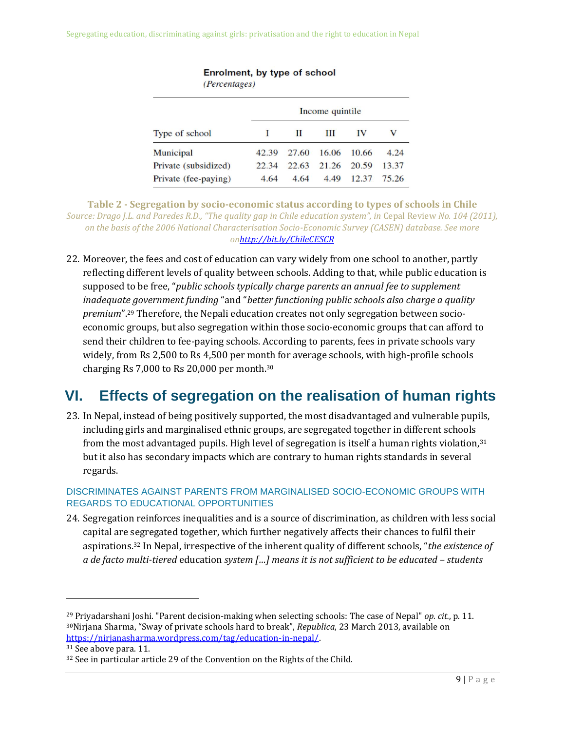Segregating education, discriminating against girls: privatisation and the right to education in Nepal

| $\mu$ creating $\sigma$ |                 |       |       |       |       |  |
|-------------------------|-----------------|-------|-------|-------|-------|--|
|                         | Income quintile |       |       |       |       |  |
| Type of school          |                 | П     | Ш     | IV    | v     |  |
| Municipal               | 42.39           | 27.60 | 16.06 | 10.66 | 4.24  |  |
| Private (subsidized)    | 22.34           | 22.63 | 21.26 | 20.59 | 13.37 |  |
| Private (fee-paying)    | 4.64            | 4.64  | 4.49  | 12.37 | 75.26 |  |

Enrolment, by type of school (Percentages)

<span id="page-10-1"></span>**Table 2 - Segregation by socio-economic status according to types of schools in Chile** *Source: Drago J.L. and Paredes R.D., "The quality gap in Chile education system", in* Cepal Review *No. 104 (2011), on the basis of the 2006 National Characterisation Socio-Economic Survey (CASEN) database. See more o[nhttp://bit.ly/ChileCESCR](http://bit.ly/ChileCESCR)*

22. Moreover, the fees and cost of education can vary widely from one school to another, partly reflecting different levels of quality between schools. Adding to that, while public education is supposed to be free, "*public schools typically charge parents an annual fee to supplement inadequate government funding* "and "*better functioning public schools also charge a quality premium*".<sup>29</sup> Therefore, the Nepali education creates not only segregation between socioeconomic groups, but also segregation within those socio-economic groups that can afford to send their children to fee-paying schools. According to parents, fees in private schools vary widely, from Rs 2,500 to Rs 4,500 per month for average schools, with high-profile schools charging Rs 7,000 to Rs 20,000 per month.<sup>30</sup>

### <span id="page-10-0"></span>**VI. Effects of segregation on the realisation of human rights**

23. In Nepal, instead of being positively supported, the most disadvantaged and vulnerable pupils, including girls and marginalised ethnic groups, are segregated together in different schools from the most advantaged pupils. High level of segregation is itself a human rights violation,  $31$ but it also has secondary impacts which are contrary to human rights standards in several regards.

#### DISCRIMINATES AGAINST PARENTS FROM MARGINALISED SOCIO-ECONOMIC GROUPS WITH REGARDS TO EDUCATIONAL OPPORTUNITIES

24. Segregation reinforces inequalities and is a source of discrimination, as children with less social capital are segregated together, which further negatively affects their chances to fulfil their aspirations.<sup>32</sup> In Nepal, irrespective of the inherent quality of different schools, "*the existence of a de facto multi-tiered* education *system […] means it is not sufficient to be educated – students* 

 $\overline{\phantom{a}}$ 

<sup>29</sup> Priyadarshani Joshi. "Parent decision-making when selecting schools: The case of Nepal" *op. cit.*, p. 11. <sup>30</sup>Nirjana Sharma, "Sway of private schools hard to break", *Republica*, 23 March 2013, available on [https://nirjanasharma.wordpress.com/tag/education-in-nepal/.](https://nirjanasharma.wordpress.com/tag/education-in-nepal/)

<sup>31</sup> See above para. [11.](#page-5-1)

<sup>32</sup> See in particular article 29 of the Convention on the Rights of the Child.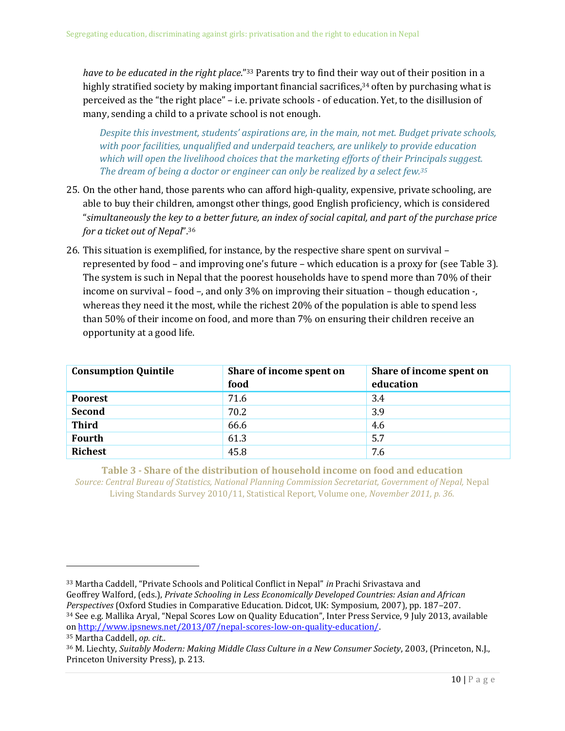*have to be educated in the right place*."<sup>33</sup> Parents try to find their way out of their position in a highly stratified society by making important financial sacrifices,<sup>34</sup> often by purchasing what is perceived as the "the right place" – i.e. private schools - of education. Yet, to the disillusion of many, sending a child to a private school is not enough.

*Despite this investment, students' aspirations are, in the main, not met. Budget private schools, with poor facilities, unqualified and underpaid teachers, are unlikely to provide education which will open the livelihood choices that the marketing efforts of their Principals suggest. The dream of being a doctor or engineer can only be realized by a select few.<sup>35</sup>*

- 25. On the other hand, those parents who can afford high-quality, expensive, private schooling, are able to buy their children, amongst other things, good English proficiency, which is considered "*simultaneously the key to a better future, an index of social capital, and part of the purchase price for a ticket out of Nepal*".<sup>36</sup>
- 26. This situation is exemplified, for instance, by the respective share spent on survival represented by food – and improving one's future – which education is a proxy for (se[e Table 3\)](#page-11-0). The system is such in Nepal that the poorest households have to spend more than 70% of their income on survival – food –, and only 3% on improving their situation – though education -, whereas they need it the most, while the richest 20% of the population is able to spend less than 50% of their income on food, and more than 7% on ensuring their children receive an opportunity at a good life.

| <b>Consumption Quintile</b> | Share of income spent on<br>food | Share of income spent on<br>education |
|-----------------------------|----------------------------------|---------------------------------------|
| <b>Poorest</b>              | 71.6                             | 3.4                                   |
| <b>Second</b>               | 70.2                             | 3.9                                   |
| <b>Third</b>                | 66.6                             | 4.6                                   |
| <b>Fourth</b>               | 61.3                             | 5.7                                   |
| <b>Richest</b>              | 45.8                             | 7.6                                   |

<span id="page-11-0"></span>**Table 3 - Share of the distribution of household income on food and education** *Source: Central Bureau of Statistics, National Planning Commission Secretariat, Government of Nepal,* Nepal Living Standards Survey 2010/11, Statistical Report, Volume one*, November 2011, p. 36.*

<sup>34</sup> See e.g. Mallika Aryal, "Nepal Scores Low on Quality Education", Inter Press Service, 9 July 2013, available on [http://www.ipsnews.net/2013/07/nepal-scores-low-on-quality-education/.](http://www.ipsnews.net/2013/07/nepal-scores-low-on-quality-education/) 

<sup>33</sup> Martha Caddell, "Private Schools and Political Conflict in Nepal" *in* Prachi Srivastava and Geoffrey Walford, (eds.), *Private Schooling in Less Economically Developed Countries: Asian and African Perspectives* (Oxford Studies in Comparative Education. Didcot, UK: Symposium, 2007), pp. 187–207.

<sup>35</sup> Martha Caddell, *op. cit*..

<sup>36</sup> M. Liechty, *Suitably Modern: Making Middle Class Culture in a New Consumer Society*, 2003, (Princeton, N.J., Princeton University Press), p. 213.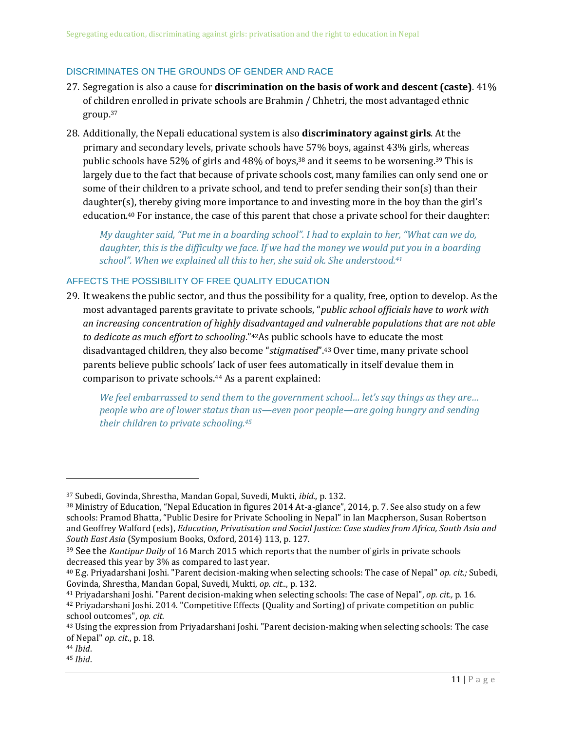#### DISCRIMINATES ON THE GROUNDS OF GENDER AND RACE

- 27. Segregation is also a cause for **discrimination on the basis of work and descent (caste)**. 41% of children enrolled in private schools are Brahmin / Chhetri, the most advantaged ethnic group.<sup>37</sup>
- 28. Additionally, the Nepali educational system is also **discriminatory against girls**. At the primary and secondary levels, private schools have 57% boys, against 43% girls, whereas public schools have 52% of girls and 48% of boys,<sup>38</sup> and it seems to be worsening.<sup>39</sup> This is largely due to the fact that because of private schools cost, many families can only send one or some of their children to a private school, and tend to prefer sending their son(s) than their daughter(s), thereby giving more importance to and investing more in the boy than the girl's education.<sup>40</sup> For instance, the case of this parent that chose a private school for their daughter:

*My daughter said, "Put me in a boarding school". I had to explain to her, "What can we do,*  daughter, this is the difficulty we face. If we had the money we would put you in a boarding *school". When we explained all this to her, she said ok. She understood.<sup>41</sup>*

#### AFFECTS THE POSSIBILITY OF FREE QUALITY EDUCATION

29. It weakens the public sector, and thus the possibility for a quality, free, option to develop. As the most advantaged parents gravitate to private schools, "*public school officials have to work with an increasing concentration of highly disadvantaged and vulnerable populations that are not able to dedicate as much effort to schooling*."42As public schools have to educate the most disadvantaged children, they also become "*stigmatised*".<sup>43</sup> Over time, many private school parents believe public schools' lack of user fees automatically in itself devalue them in comparison to private schools.<sup>44</sup> As a parent explained:

*We feel embarrassed to send them to the government school… let's say things as they are… people who are of lower status than us—even poor people—are going hungry and sending their children to private schooling.<sup>45</sup>*

l

<sup>37</sup> Subedi, Govinda, Shrestha, Mandan Gopal, Suvedi, Mukti, *ibid*., p. 132.

<sup>38</sup> Ministry of Education, "Nepal Education in figures 2014 At-a-glance", 2014, p. 7. See also study on a few schools: Pramod Bhatta, "Public Desire for Private Schooling in Nepal" in Ian Macpherson, Susan Robertson and Geoffrey Walford (eds), *Education, Privatisation and Social Justice: Case studies from Africa, South Asia and South East Asia* (Symposium Books, Oxford, 2014) 113, p. 127.

<sup>39</sup> See the *Kantipur Daily* of 16 March 2015 which reports that the number of girls in private schools decreased this year by 3% as compared to last year.

<sup>40</sup> E.g. Priyadarshani Joshi. "Parent decision-making when selecting schools: The case of Nepal" *op. cit.;* Subedi, Govinda, Shrestha, Mandan Gopal, Suvedi, Mukti, *op. cit.*., p. 132.

<sup>41</sup> Priyadarshani Joshi. "Parent decision-making when selecting schools: The case of Nepal", *op. cit.,* p. 16. <sup>42</sup> Priyadarshani Joshi. 2014. "Competitive Effects (Quality and Sorting) of private competition on public school outcomes", *op. cit.*

<sup>43</sup> Using the expression from Priyadarshani Joshi. "Parent decision-making when selecting schools: The case of Nepal" *op. cit*., p. 18.

<sup>44</sup> *Ibid*.

<sup>45</sup> *Ibid*.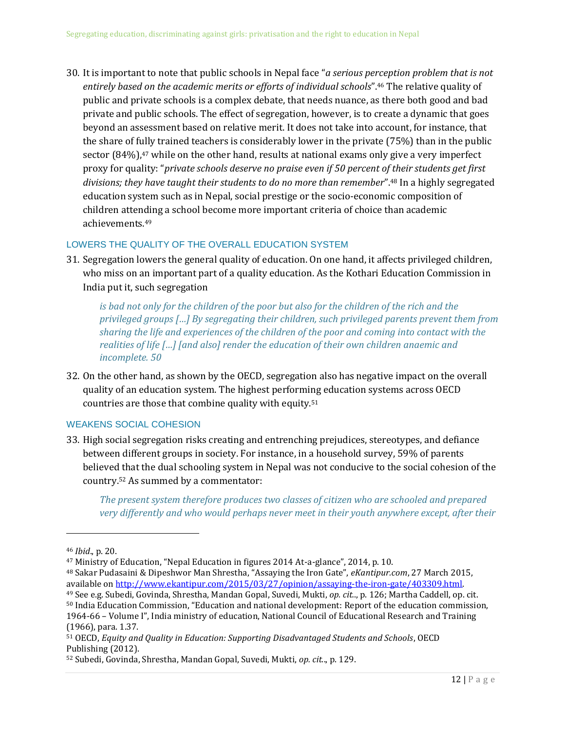30. It is important to note that public schools in Nepal face "*a serious perception problem that is not entirely based on the academic merits or efforts of individual schools*".<sup>46</sup> The relative quality of public and private schools is a complex debate, that needs nuance, as there both good and bad private and public schools. The effect of segregation, however, is to create a dynamic that goes beyond an assessment based on relative merit. It does not take into account, for instance, that the share of fully trained teachers is considerably lower in the private (75%) than in the public sector  $(84%)$ ,<sup>47</sup> while on the other hand, results at national exams only give a very imperfect proxy for quality: "*private schools deserve no praise even if 50 percent of their students get first divisions; they have taught their students to do no more than remember*". <sup>48</sup> In a highly segregated education system such as in Nepal, social prestige or the socio-economic composition of children attending a school become more important criteria of choice than academic achievements.<sup>49</sup>

#### LOWERS THE QUALITY OF THE OVERALL EDUCATION SYSTEM

31. Segregation lowers the general quality of education. On one hand, it affects privileged children, who miss on an important part of a quality education. As the Kothari Education Commission in India put it, such segregation

is bad not only for the children of the poor but also for the children of the rich and the *privileged groups […] By segregating their children, such privileged parents prevent them from sharing the life and experiences of the children of the poor and coming into contact with the realities of life […] [and also] render the education of their own children anaemic and incomplete. 50*

32. On the other hand, as shown by the OECD, segregation also has negative impact on the overall quality of an education system. The highest performing education systems across OECD countries are those that combine quality with equity.<sup>51</sup>

#### WEAKENS SOCIAL COHESION

33. High social segregation risks creating and entrenching prejudices, stereotypes, and defiance between different groups in society. For instance, in a household survey, 59% of parents believed that the dual schooling system in Nepal was not conducive to the social cohesion of the country.<sup>52</sup> As summed by a commentator:

*The present system therefore produces two classes of citizen who are schooled and prepared very differently and who would perhaps never meet in their youth anywhere except, after their* 

 $\overline{a}$ 

<sup>49</sup> See e.g. Subedi, Govinda, Shrestha, Mandan Gopal, Suvedi, Mukti, *op. cit.*., p. 126; Martha Caddell, op. cit. <sup>50</sup> India Education Commission, "Education and national development: Report of the education commission,

<sup>46</sup> *Ibid*., p. 20.

<sup>47</sup> Ministry of Education, "Nepal Education in figures 2014 At-a-glance", 2014, p. 10.

<sup>48</sup> Sakar Pudasaini & Dipeshwor Man Shrestha, "Assaying the Iron Gate", *eKantipur.com*, 27 March 2015, available on http://www.ekantipur.com/2015/03/27/opinion/assaying-the-iron-gate/403309.html.

<sup>1964-66</sup> – Volume I", India ministry of education, National Council of Educational Research and Training (1966), para. 1.37.

<sup>51</sup> OECD, *Equity and Quality in Education: Supporting Disadvantaged Students and Schools*, OECD Publishing (2012).

<sup>52</sup> Subedi, Govinda, Shrestha, Mandan Gopal, Suvedi, Mukti, *op. cit.*., p. 129.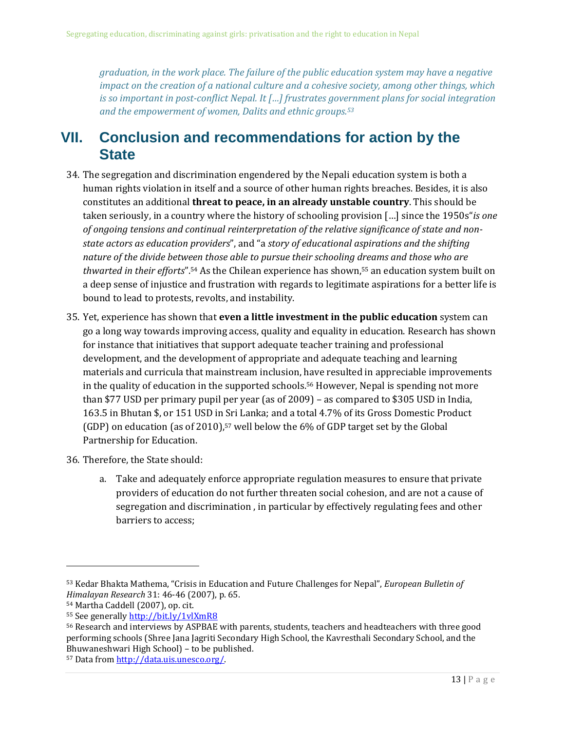*graduation, in the work place. The failure of the public education system may have a negative impact on the creation of a national culture and a cohesive society, among other things, which is so important in post-conflict Nepal. It […] frustrates government plans for social integration and the empowerment of women, Dalits and ethnic groups.<sup>53</sup>*

### <span id="page-14-0"></span>**VII. Conclusion and recommendations for action by the State**

- 34. The segregation and discrimination engendered by the Nepali education system is both a human rights violation in itself and a source of other human rights breaches. Besides, it is also constitutes an additional **threat to peace, in an already unstable country**. This should be taken seriously, in a country where the history of schooling provision […] since the 1950s"*is one of ongoing tensions and continual reinterpretation of the relative significance of state and nonstate actors as education providers*", and "a *story of educational aspirations and the shifting nature of the divide between those able to pursue their schooling dreams and those who are thwarted in their efforts*".<sup>54</sup> As the Chilean experience has shown,<sup>55</sup> an education system built on a deep sense of injustice and frustration with regards to legitimate aspirations for a better life is bound to lead to protests, revolts, and instability.
- 35. Yet, experience has shown that **even a little investment in the public education** system can go a long way towards improving access, quality and equality in education. Research has shown for instance that initiatives that support adequate teacher training and professional development, and the development of appropriate and adequate teaching and learning materials and curricula that mainstream inclusion, have resulted in appreciable improvements in the quality of education in the supported schools.<sup>56</sup> However, Nepal is spending not more than \$77 USD per primary pupil per year (as of 2009) – as compared to \$305 USD in India, 163.5 in Bhutan \$, or 151 USD in Sri Lanka; and a total 4.7% of its Gross Domestic Product (GDP) on education (as of 2010),<sup>57</sup> well below the 6% of GDP target set by the Global Partnership for Education.
- 36. Therefore, the State should:
	- a. Take and adequately enforce appropriate regulation measures to ensure that private providers of education do not further threaten social cohesion, and are not a cause of segregation and discrimination , in particular by effectively regulating fees and other barriers to access;

<sup>53</sup> Kedar Bhakta Mathema, "Crisis in Education and Future Challenges for Nepal", *European Bulletin of Himalayan Research* 31: 46-46 (2007), p. 65.

<sup>54</sup> Martha Caddell (2007), op. cit.

<sup>55</sup> See generall[y http://bit.ly/1vlXmR8](http://bit.ly/1vlXmR8)

<sup>56</sup> Research and interviews by ASPBAE with parents, students, teachers and headteachers with three good performing schools (Shree Jana Jagriti Secondary High School, the Kavresthali Secondary School, and the Bhuwaneshwari High School) – to be published.

<sup>57</sup> Data fro[m http://data.uis.unesco.org/.](http://data.uis.unesco.org/)